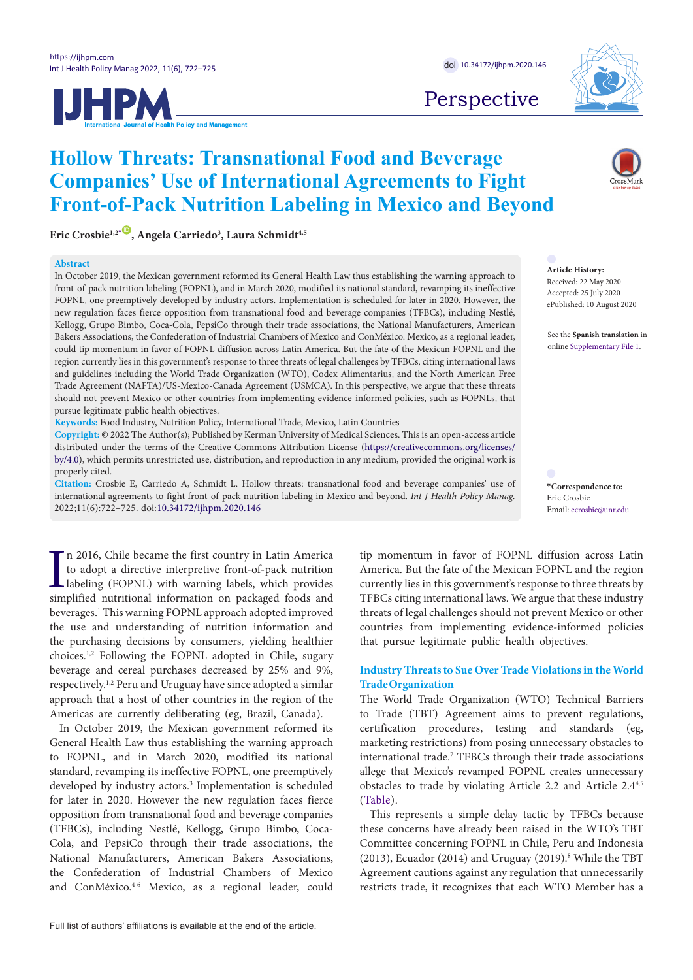



Perspective

# **Hollow Threats: Transnational Food and Beverage Companies' Use of International Agreements to Fight Front-of-Pack Nutrition Labeling in Mexico and Beyond**

**Eric Crosbie1,2[\\*](#page-0-0)** [ID](http://orcid.org/0000-0002-6219-298X) **, Angela Carriedo3 , Laura Schmidt4,5**

#### **Abstract**

In October 2019, the Mexican government reformed its General Health Law thus establishing the warning approach to front-of-pack nutrition labeling (FOPNL), and in March 2020, modified its national standard, revamping its ineffective FOPNL, one preemptively developed by industry actors. Implementation is scheduled for later in 2020. However, the new regulation faces fierce opposition from transnational food and beverage companies (TFBCs), including Nestlé, Kellogg, Grupo Bimbo, Coca-Cola, PepsiCo through their trade associations, the National Manufacturers, American Bakers Associations, the Confederation of Industrial Chambers of Mexico and ConMéxico. Mexico, as a regional leader, could tip momentum in favor of FOPNL diffusion across Latin America. But the fate of the Mexican FOPNL and the region currently lies in this government's response to three threats of legal challenges by TFBCs, citing international laws and guidelines including the World Trade Organization (WTO), Codex Alimentarius, and the North American Free Trade Agreement (NAFTA)/US-Mexico-Canada Agreement (USMCA). In this perspective, we argue that these threats should not prevent Mexico or other countries from implementing evidence-informed policies, such as FOPNLs, that pursue legitimate public health objectives.

**Keywords:** Food Industry, Nutrition Policy, International Trade, Mexico, Latin Countries

**Copyright:** © 2022 The Author(s); Published by Kerman University of Medical Sciences. This is an open-access article distributed under the terms of the Creative Commons Attribution License [\(https://creativecommons.org/licenses/](https://creativecommons.org/licenses/by/4.0) [by/4.0\)](https://creativecommons.org/licenses/by/4.0), which permits unrestricted use, distribution, and reproduction in any medium, provided the original work is properly cited.

**Citation:** Crosbie E, Carriedo A, Schmidt L. Hollow threats: transnational food and beverage companies' use of international agreements to fight front-of-pack nutrition labeling in Mexico and beyond. *Int J Health Policy Manag.*  2022;11(6):722–725. doi:[10.34172/ijhpm.2020.146](https://doi.org/10.34172/ijhpm.2020.146)

In 2016, Chile became the first country in Latin America<br>to adopt a directive interpretive front-of-pack nutrition<br>labeling (FOPNL) with warning labels, which provides<br>simplified nutritional information on packaged foods a n 2016, Chile became the first country in Latin America to adopt a directive interpretive front-of-pack nutrition labeling (FOPNL) with warning labels, which provides beverages.1 This warning FOPNL approach adopted improved the use and understanding of nutrition information and the purchasing decisions by consumers, yielding healthier choices.1,2 Following the FOPNL adopted in Chile, sugary beverage and cereal purchases decreased by 25% and 9%, respectively.1,2 Peru and Uruguay have since adopted a similar approach that a host of other countries in the region of the Americas are currently deliberating (eg, Brazil, Canada).

In October 2019, the Mexican government reformed its General Health Law thus establishing the warning approach to FOPNL, and in March 2020, modified its national standard, revamping its ineffective FOPNL, one preemptively developed by industry actors.<sup>3</sup> Implementation is scheduled for later in 2020. However the new regulation faces fierce opposition from transnational food and beverage companies (TFBCs), including Nestlé, Kellogg, Grupo Bimbo, Coca-Cola, and PepsiCo through their trade associations, the National Manufacturers, American Bakers Associations, the Confederation of Industrial Chambers of Mexico and ConMéxico.<sup>4-6</sup> Mexico, as a regional leader, could

tip momentum in favor of FOPNL diffusion across Latin America. But the fate of the Mexican FOPNL and the region currently lies in this government's response to three threats by TFBCs citing international laws. We argue that these industry threats of legal challenges should not prevent Mexico or other countries from implementing evidence-informed policies that pursue legitimate public health objectives.

## **Industry Threats to Sue Over Trade Violations in the World Trade Organization**

The World Trade Organization (WTO) Technical Barriers to Trade (TBT) Agreement aims to prevent regulations, certification procedures, testing and standards (eg, marketing restrictions) from posing unnecessary obstacles to international trade.7 TFBCs through their trade associations allege that Mexico's revamped FOPNL creates unnecessary obstacles to trade by violating Article 2.2 and Article 2.4<sup>4,5</sup> ([Table\)](#page-1-0).

This represents a simple delay tactic by TFBCs because these concerns have already been raised in the WTO's TBT Committee concerning FOPNL in Chile, Peru and Indonesia (2013), Ecuador (2014) and Uruguay (2019).<sup>8</sup> While the TBT Agreement cautions against any regulation that unnecessarily restricts trade, it recognizes that each WTO Member has a

**Article History:** Received: 22 May 2020 Accepted: 25 July 2020 ePublished: 10 August 2020

See the **Spanish translation** in online [Supplementary File 1](#page-3-0).

<span id="page-0-0"></span>**\*Correspondence to:** Eric Crosbie Email: ecrosbie@unr.edu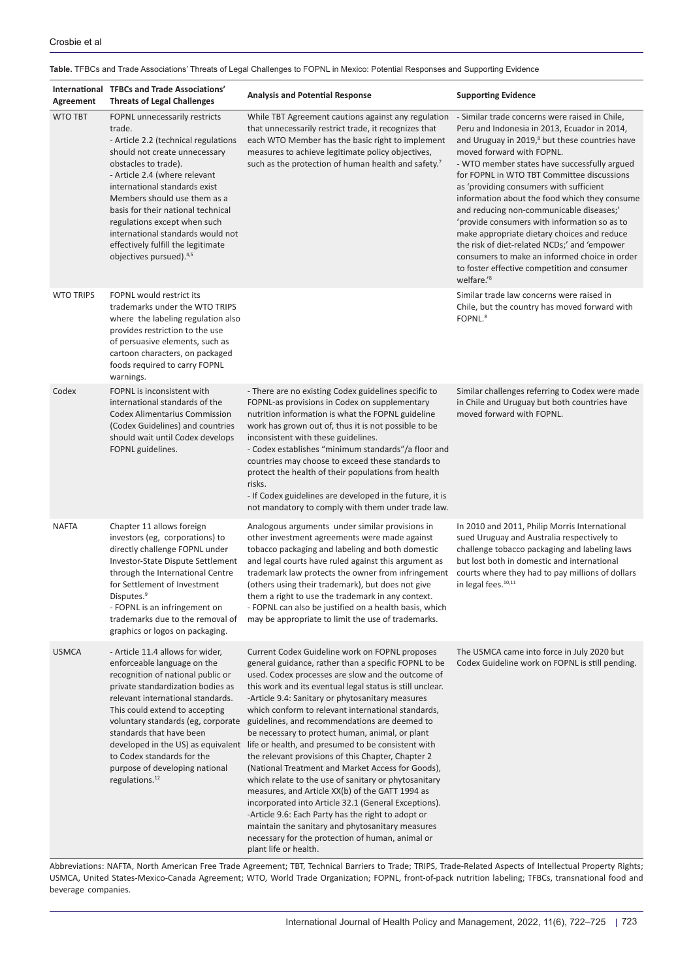## <span id="page-1-0"></span>**Table.** TFBCs and Trade Associations' Threats of Legal Challenges to FOPNL in Mexico: Potential Responses and Supporting Evidence

| Agreement        | International TFBCs and Trade Associations'<br><b>Threats of Legal Challenges</b>                                                                                                                                                                                                                                                                                                                                                  | <b>Analysis and Potential Response</b>                                                                                                                                                                                                                                                                                                                                                                                                                                                                                                                                                                                                                                                                                                                                                                                                                                                                                                                                                               | <b>Supporting Evidence</b>                                                                                                                                                                                                                                                                                                                                                                                                                                                                                                                                                                                                                                                                    |
|------------------|------------------------------------------------------------------------------------------------------------------------------------------------------------------------------------------------------------------------------------------------------------------------------------------------------------------------------------------------------------------------------------------------------------------------------------|------------------------------------------------------------------------------------------------------------------------------------------------------------------------------------------------------------------------------------------------------------------------------------------------------------------------------------------------------------------------------------------------------------------------------------------------------------------------------------------------------------------------------------------------------------------------------------------------------------------------------------------------------------------------------------------------------------------------------------------------------------------------------------------------------------------------------------------------------------------------------------------------------------------------------------------------------------------------------------------------------|-----------------------------------------------------------------------------------------------------------------------------------------------------------------------------------------------------------------------------------------------------------------------------------------------------------------------------------------------------------------------------------------------------------------------------------------------------------------------------------------------------------------------------------------------------------------------------------------------------------------------------------------------------------------------------------------------|
| <b>WTO TBT</b>   | FOPNL unnecessarily restricts<br>trade.<br>- Article 2.2 (technical regulations<br>should not create unnecessary<br>obstacles to trade).<br>- Article 2.4 (where relevant<br>international standards exist<br>Members should use them as a<br>basis for their national technical<br>regulations except when such<br>international standards would not<br>effectively fulfill the legitimate<br>objectives pursued). <sup>4,5</sup> | While TBT Agreement cautions against any regulation<br>that unnecessarily restrict trade, it recognizes that<br>each WTO Member has the basic right to implement<br>measures to achieve legitimate policy objectives,<br>such as the protection of human health and safety.7                                                                                                                                                                                                                                                                                                                                                                                                                                                                                                                                                                                                                                                                                                                         | - Similar trade concerns were raised in Chile,<br>Peru and Indonesia in 2013, Ecuador in 2014,<br>and Uruguay in 2019, <sup>8</sup> but these countries have<br>moved forward with FOPNL.<br>- WTO member states have successfully argued<br>for FOPNL in WTO TBT Committee discussions<br>as 'providing consumers with sufficient<br>information about the food which they consume<br>and reducing non-communicable diseases;'<br>'provide consumers with information so as to<br>make appropriate dietary choices and reduce<br>the risk of diet-related NCDs;' and 'empower<br>consumers to make an informed choice in order<br>to foster effective competition and consumer<br>welfare.'8 |
| <b>WTO TRIPS</b> | FOPNL would restrict its<br>trademarks under the WTO TRIPS<br>where the labeling regulation also<br>provides restriction to the use<br>of persuasive elements, such as<br>cartoon characters, on packaged<br>foods required to carry FOPNL<br>warnings.                                                                                                                                                                            |                                                                                                                                                                                                                                                                                                                                                                                                                                                                                                                                                                                                                                                                                                                                                                                                                                                                                                                                                                                                      | Similar trade law concerns were raised in<br>Chile, but the country has moved forward with<br>FOPNL. <sup>8</sup>                                                                                                                                                                                                                                                                                                                                                                                                                                                                                                                                                                             |
| Codex            | FOPNL is inconsistent with<br>international standards of the<br><b>Codex Alimentarius Commission</b><br>(Codex Guidelines) and countries<br>should wait until Codex develops<br>FOPNL guidelines.                                                                                                                                                                                                                                  | - There are no existing Codex guidelines specific to<br>FOPNL-as provisions in Codex on supplementary<br>nutrition information is what the FOPNL guideline<br>work has grown out of, thus it is not possible to be<br>inconsistent with these guidelines.<br>- Codex establishes "minimum standards"/a floor and<br>countries may choose to exceed these standards to<br>protect the health of their populations from health<br>risks.<br>- If Codex guidelines are developed in the future, it is<br>not mandatory to comply with them under trade law.                                                                                                                                                                                                                                                                                                                                                                                                                                             | Similar challenges referring to Codex were made<br>in Chile and Uruguay but both countries have<br>moved forward with FOPNL.                                                                                                                                                                                                                                                                                                                                                                                                                                                                                                                                                                  |
| <b>NAFTA</b>     | Chapter 11 allows foreign<br>investors (eg, corporations) to<br>directly challenge FOPNL under<br>Investor-State Dispute Settlement<br>through the International Centre<br>for Settlement of Investment<br>Disputes. <sup>9</sup><br>- FOPNL is an infringement on<br>trademarks due to the removal of<br>graphics or logos on packaging.                                                                                          | Analogous arguments under similar provisions in<br>other investment agreements were made against<br>tobacco packaging and labeling and both domestic<br>and legal courts have ruled against this argument as<br>trademark law protects the owner from infringement<br>(others using their trademark), but does not give<br>them a right to use the trademark in any context.<br>- FOPNL can also be justified on a health basis, which<br>may be appropriate to limit the use of trademarks.                                                                                                                                                                                                                                                                                                                                                                                                                                                                                                         | In 2010 and 2011, Philip Morris International<br>sued Uruguay and Australia respectively to<br>challenge tobacco packaging and labeling laws<br>but lost both in domestic and international<br>courts where they had to pay millions of dollars<br>in legal fees. <sup>10,11</sup>                                                                                                                                                                                                                                                                                                                                                                                                            |
| <b>USMCA</b>     | - Article 11.4 allows for wider,<br>enforceable language on the<br>recognition of national public or<br>private standardization bodies as<br>relevant international standards.<br>This could extend to accepting<br>voluntary standards (eg, corporate<br>standards that have been<br>to Codex standards for the<br>purpose of developing national<br>regulations. <sup>12</sup>                                                   | Current Codex Guideline work on FOPNL proposes<br>general guidance, rather than a specific FOPNL to be<br>used. Codex processes are slow and the outcome of<br>this work and its eventual legal status is still unclear.<br>-Article 9.4: Sanitary or phytosanitary measures<br>which conform to relevant international standards,<br>guidelines, and recommendations are deemed to<br>be necessary to protect human, animal, or plant<br>developed in the US) as equivalent life or health, and presumed to be consistent with<br>the relevant provisions of this Chapter, Chapter 2<br>(National Treatment and Market Access for Goods),<br>which relate to the use of sanitary or phytosanitary<br>measures, and Article XX(b) of the GATT 1994 as<br>incorporated into Article 32.1 (General Exceptions).<br>-Article 9.6: Each Party has the right to adopt or<br>maintain the sanitary and phytosanitary measures<br>necessary for the protection of human, animal or<br>plant life or health. | The USMCA came into force in July 2020 but<br>Codex Guideline work on FOPNL is still pending.                                                                                                                                                                                                                                                                                                                                                                                                                                                                                                                                                                                                 |

Abbreviations: NAFTA, North American Free Trade Agreement; TBT, Technical Barriers to Trade; TRIPS, Trade-Related Aspects of Intellectual Property Rights; USMCA, United States-Mexico-Canada Agreement; WTO, World Trade Organization; FOPNL, front-of-pack nutrition labeling; TFBCs, transnational food and beverage companies.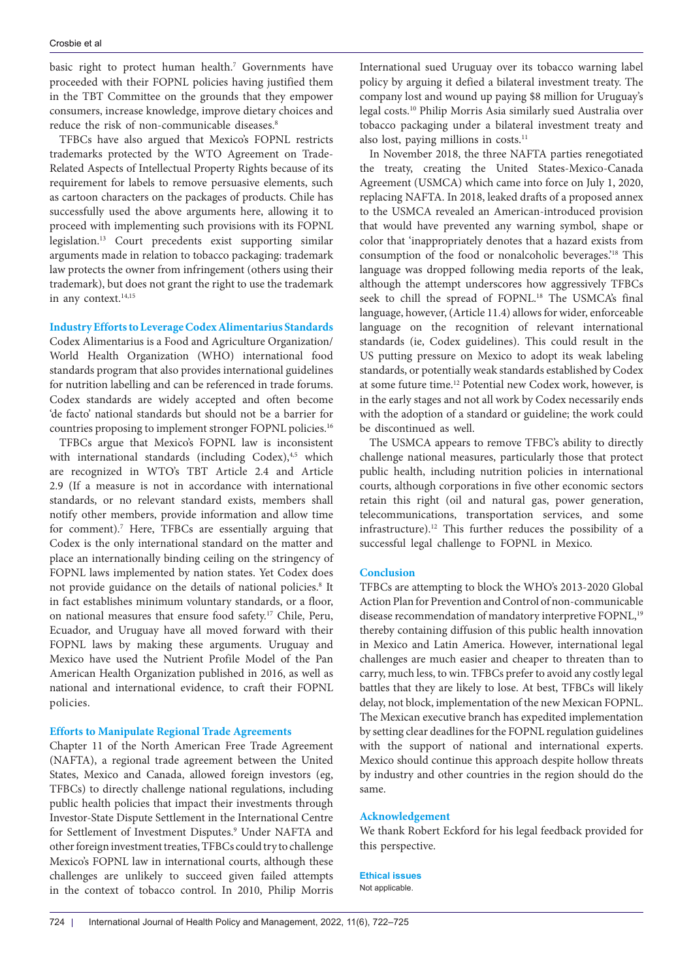basic right to protect human health.<sup>7</sup> Governments have proceeded with their FOPNL policies having justified them in the TBT Committee on the grounds that they empower consumers, increase knowledge, improve dietary choices and reduce the risk of non-communicable diseases.<sup>8</sup>

TFBCs have also argued that Mexico's FOPNL restricts trademarks protected by the WTO Agreement on Trade-Related Aspects of Intellectual Property Rights because of its requirement for labels to remove persuasive elements, such as cartoon characters on the packages of products. Chile has successfully used the above arguments here, allowing it to proceed with implementing such provisions with its FOPNL legislation.13 Court precedents exist supporting similar arguments made in relation to tobacco packaging: trademark law protects the owner from infringement (others using their trademark), but does not grant the right to use the trademark in any context.<sup>14,15</sup>

## **Industry Efforts to Leverage Codex Alimentarius Standards**

Codex Alimentarius is a Food and Agriculture Organization/ World Health Organization (WHO) international food standards program that also provides international guidelines for nutrition labelling and can be referenced in trade forums. Codex standards are widely accepted and often become 'de facto' national standards but should not be a barrier for countries proposing to implement stronger FOPNL policies.16

TFBCs argue that Mexico's FOPNL law is inconsistent with international standards (including Codex),<sup>4,5</sup> which are recognized in WTO's TBT Article 2.4 and Article 2.9 (If a measure is not in accordance with international standards, or no relevant standard exists, members shall notify other members, provide information and allow time for comment).<sup>7</sup> Here, TFBCs are essentially arguing that Codex is the only international standard on the matter and place an internationally binding ceiling on the stringency of FOPNL laws implemented by nation states. Yet Codex does not provide guidance on the details of national policies.<sup>8</sup> It in fact establishes minimum voluntary standards, or a floor, on national measures that ensure food safety.17 Chile, Peru, Ecuador, and Uruguay have all moved forward with their FOPNL laws by making these arguments. Uruguay and Mexico have used the Nutrient Profile Model of the Pan American Health Organization published in 2016, as well as national and international evidence, to craft their FOPNL policies.

## **Efforts to Manipulate Regional Trade Agreements**

Chapter 11 of the North American Free Trade Agreement (NAFTA), a regional trade agreement between the United States, Mexico and Canada, allowed foreign investors (eg, TFBCs) to directly challenge national regulations, including public health policies that impact their investments through Investor-State Dispute Settlement in the International Centre for Settlement of Investment Disputes.9 Under NAFTA and other foreign investment treaties, TFBCs could try to challenge Mexico's FOPNL law in international courts, although these challenges are unlikely to succeed given failed attempts in the context of tobacco control. In 2010, Philip Morris

International sued Uruguay over its tobacco warning label policy by arguing it defied a bilateral investment treaty. The company lost and wound up paying \$8 million for Uruguay's legal costs.10 Philip Morris Asia similarly sued Australia over tobacco packaging under a bilateral investment treaty and also lost, paying millions in costs.<sup>11</sup>

In November 2018, the three NAFTA parties renegotiated the treaty, creating the United States-Mexico-Canada Agreement (USMCA) which came into force on July 1, 2020, replacing NAFTA. In 2018, leaked drafts of a proposed annex to the USMCA revealed an American-introduced provision that would have prevented any warning symbol, shape or color that 'inappropriately denotes that a hazard exists from consumption of the food or nonalcoholic beverages.'18 This language was dropped following media reports of the leak, although the attempt underscores how aggressively TFBCs seek to chill the spread of FOPNL.<sup>18</sup> The USMCA's final language, however, (Article 11.4) allows for wider, enforceable language on the recognition of relevant international standards (ie, Codex guidelines). This could result in the US putting pressure on Mexico to adopt its weak labeling standards, or potentially weak standards established by Codex at some future time.12 Potential new Codex work, however, is in the early stages and not all work by Codex necessarily ends with the adoption of a standard or guideline; the work could be discontinued as well.

The USMCA appears to remove TFBC's ability to directly challenge national measures, particularly those that protect public health, including nutrition policies in international courts, although corporations in five other economic sectors retain this right (oil and natural gas, power generation, telecommunications, transportation services, and some infrastructure).12 This further reduces the possibility of a successful legal challenge to FOPNL in Mexico.

#### **Conclusion**

TFBCs are attempting to block the WHO's 2013-2020 Global Action Plan for Prevention and Control of non-communicable disease recommendation of mandatory interpretive FOPNL,<sup>19</sup> thereby containing diffusion of this public health innovation in Mexico and Latin America. However, international legal challenges are much easier and cheaper to threaten than to carry, much less, to win. TFBCs prefer to avoid any costly legal battles that they are likely to lose. At best, TFBCs will likely delay, not block, implementation of the new Mexican FOPNL. The Mexican executive branch has expedited implementation by setting clear deadlines for the FOPNL regulation guidelines with the support of national and international experts. Mexico should continue this approach despite hollow threats by industry and other countries in the region should do the same.

## **Acknowledgement**

We thank Robert Eckford for his legal feedback provided for this perspective.

## **Ethical issues**

Not applicable.